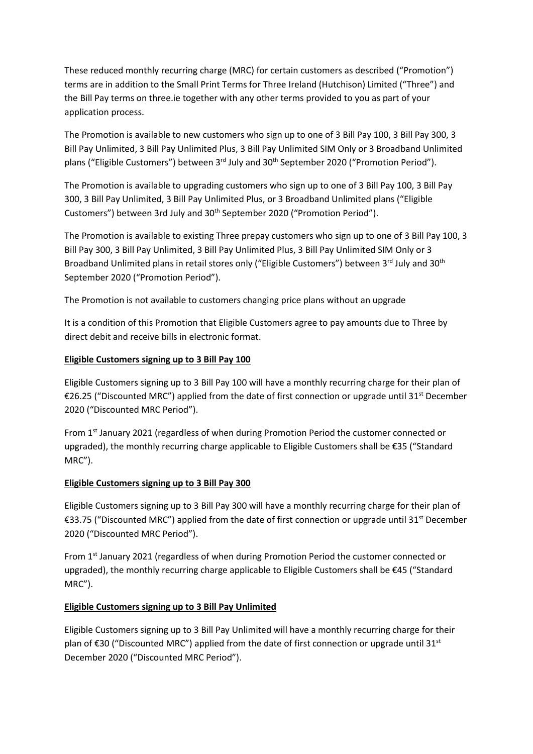These reduced monthly recurring charge (MRC) for certain customers as described ("Promotion") terms are in addition to the Small Print Terms for Three Ireland (Hutchison) Limited ("Three") and the Bill Pay terms on three.ie together with any other terms provided to you as part of your application process.

The Promotion is available to new customers who sign up to one of 3 Bill Pay 100, 3 Bill Pay 300, 3 Bill Pay Unlimited, 3 Bill Pay Unlimited Plus, 3 Bill Pay Unlimited SIM Only or 3 Broadband Unlimited plans ("Eligible Customers") between 3<sup>rd</sup> July and 30<sup>th</sup> September 2020 ("Promotion Period").

The Promotion is available to upgrading customers who sign up to one of 3 Bill Pay 100, 3 Bill Pay 300, 3 Bill Pay Unlimited, 3 Bill Pay Unlimited Plus, or 3 Broadband Unlimited plans ("Eligible Customers") between 3rd July and 30<sup>th</sup> September 2020 ("Promotion Period").

The Promotion is available to existing Three prepay customers who sign up to one of 3 Bill Pay 100, 3 Bill Pay 300, 3 Bill Pay Unlimited, 3 Bill Pay Unlimited Plus, 3 Bill Pay Unlimited SIM Only or 3 Broadband Unlimited plans in retail stores only ("Eligible Customers") between 3rd July and 30<sup>th</sup> September 2020 ("Promotion Period").

The Promotion is not available to customers changing price plans without an upgrade

It is a condition of this Promotion that Eligible Customers agree to pay amounts due to Three by direct debit and receive bills in electronic format.

# **Eligible Customers signing up to 3 Bill Pay 100**

Eligible Customers signing up to 3 Bill Pay 100 will have a monthly recurring charge for their plan of €26.25 ("Discounted MRC") applied from the date of first connection or upgrade until 31st December 2020 ("Discounted MRC Period").

From 1<sup>st</sup> January 2021 (regardless of when during Promotion Period the customer connected or upgraded), the monthly recurring charge applicable to Eligible Customers shall be €35 ("Standard MRC").

# **Eligible Customers signing up to 3 Bill Pay 300**

Eligible Customers signing up to 3 Bill Pay 300 will have a monthly recurring charge for their plan of €33.75 ("Discounted MRC") applied from the date of first connection or upgrade until 31<sup>st</sup> December 2020 ("Discounted MRC Period").

From 1<sup>st</sup> January 2021 (regardless of when during Promotion Period the customer connected or upgraded), the monthly recurring charge applicable to Eligible Customers shall be €45 ("Standard MRC").

# **Eligible Customers signing up to 3 Bill Pay Unlimited**

Eligible Customers signing up to 3 Bill Pay Unlimited will have a monthly recurring charge for their plan of €30 ("Discounted MRC") applied from the date of first connection or upgrade until 31<sup>st</sup> December 2020 ("Discounted MRC Period").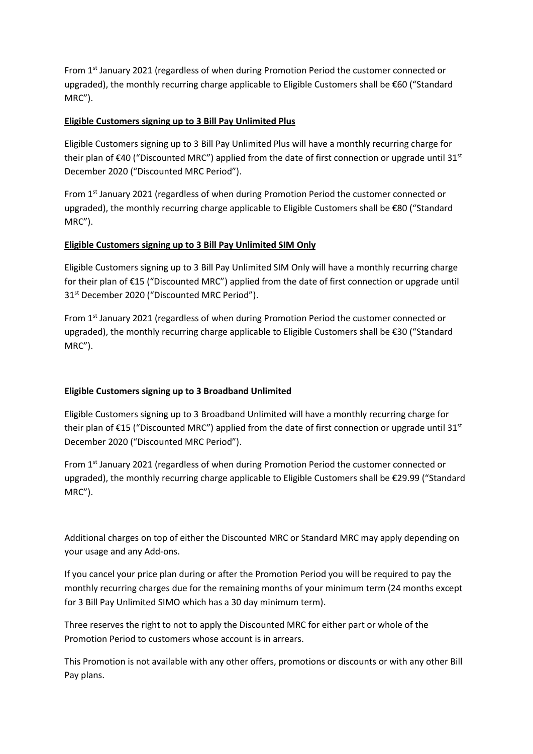From 1st January 2021 (regardless of when during Promotion Period the customer connected or upgraded), the monthly recurring charge applicable to Eligible Customers shall be €60 ("Standard MRC").

#### **Eligible Customers signing up to 3 Bill Pay Unlimited Plus**

Eligible Customers signing up to 3 Bill Pay Unlimited Plus will have a monthly recurring charge for their plan of  $\epsilon$ 40 ("Discounted MRC") applied from the date of first connection or upgrade until 31st December 2020 ("Discounted MRC Period").

From 1st January 2021 (regardless of when during Promotion Period the customer connected or upgraded), the monthly recurring charge applicable to Eligible Customers shall be €80 ("Standard MRC").

# **Eligible Customers signing up to 3 Bill Pay Unlimited SIM Only**

Eligible Customers signing up to 3 Bill Pay Unlimited SIM Only will have a monthly recurring charge for their plan of €15 ("Discounted MRC") applied from the date of first connection or upgrade until 31<sup>st</sup> December 2020 ("Discounted MRC Period").

From 1st January 2021 (regardless of when during Promotion Period the customer connected or upgraded), the monthly recurring charge applicable to Eligible Customers shall be €30 ("Standard MRC").

# **Eligible Customers signing up to 3 Broadband Unlimited**

Eligible Customers signing up to 3 Broadband Unlimited will have a monthly recurring charge for their plan of  $\epsilon$ 15 ("Discounted MRC") applied from the date of first connection or upgrade until 31st December 2020 ("Discounted MRC Period").

From 1st January 2021 (regardless of when during Promotion Period the customer connected or upgraded), the monthly recurring charge applicable to Eligible Customers shall be €29.99 ("Standard MRC").

Additional charges on top of either the Discounted MRC or Standard MRC may apply depending on your usage and any Add-ons.

If you cancel your price plan during or after the Promotion Period you will be required to pay the monthly recurring charges due for the remaining months of your minimum term (24 months except for 3 Bill Pay Unlimited SIMO which has a 30 day minimum term).

Three reserves the right to not to apply the Discounted MRC for either part or whole of the Promotion Period to customers whose account is in arrears.

This Promotion is not available with any other offers, promotions or discounts or with any other Bill Pay plans.